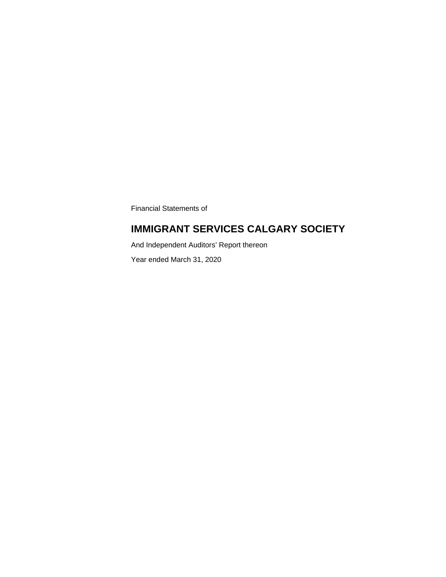Financial Statements of

# **IMMIGRANT SERVICES CALGARY SOCIETY**

And Independent Auditors' Report thereon

Year ended March 31, 2020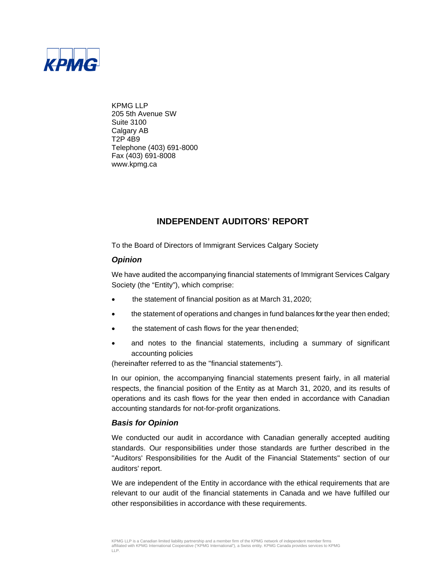

KPMG LLP 205 5th Avenue SW Suite 3100 Calgary AB T2P 4B9 Telephone (403) 691-8000 Fax (403) 691-8008 www.kpmg.ca

# **INDEPENDENT AUDITORS' REPORT**

To the Board of Directors of Immigrant Services Calgary Society

# *Opinion*

We have audited the accompanying financial statements of Immigrant Services Calgary Society (the "Entity"), which comprise:

- the statement of financial position as at March 31, 2020;
- the statement of operations and changes in fund balances for the year then ended;
- the statement of cash flows for the year then ended;
- and notes to the financial statements, including a summary of significant accounting policies

(hereinafter referred to as the ''financial statements'').

In our opinion, the accompanying financial statements present fairly, in all material respects, the financial position of the Entity as at March 31, 2020, and its results of operations and its cash flows for the year then ended in accordance with Canadian accounting standards for not-for-profit organizations.

# *Basis for Opinion*

We conducted our audit in accordance with Canadian generally accepted auditing standards. Our responsibilities under those standards are further described in the ''Auditors' Responsibilities for the Audit of the Financial Statements'' section of our auditors' report.

We are independent of the Entity in accordance with the ethical requirements that are relevant to our audit of the financial statements in Canada and we have fulfilled our other responsibilities in accordance with these requirements.

KPMG LLP is a Canadian limited liability partnership and a member firm of the KPMG network of independent member firms affiliated with KPMG International Cooperative ("KPMG International"), a Swiss entity. KPMG Canada provides services to KPMG LLP.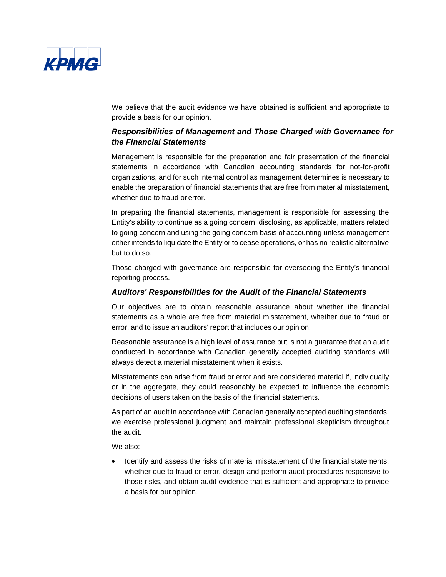

We believe that the audit evidence we have obtained is sufficient and appropriate to provide a basis for our opinion.

# *Responsibilities of Management and Those Charged with Governance for the Financial Statements*

Management is responsible for the preparation and fair presentation of the financial statements in accordance with Canadian accounting standards for not-for-profit organizations, and for such internal control as management determines is necessary to enable the preparation of financial statements that are free from material misstatement, whether due to fraud or error.

In preparing the financial statements, management is responsible for assessing the Entity's ability to continue as a going concern, disclosing, as applicable, matters related to going concern and using the going concern basis of accounting unless management either intends to liquidate the Entity or to cease operations, or has no realistic alternative but to do so.

Those charged with governance are responsible for overseeing the Entity's financial reporting process.

### *Auditors' Responsibilities for the Audit of the Financial Statements*

Our objectives are to obtain reasonable assurance about whether the financial statements as a whole are free from material misstatement, whether due to fraud or error, and to issue an auditors' report that includes our opinion.

Reasonable assurance is a high level of assurance but is not a guarantee that an audit conducted in accordance with Canadian generally accepted auditing standards will always detect a material misstatement when it exists.

Misstatements can arise from fraud or error and are considered material if, individually or in the aggregate, they could reasonably be expected to influence the economic decisions of users taken on the basis of the financial statements.

As part of an audit in accordance with Canadian generally accepted auditing standards, we exercise professional judgment and maintain professional skepticism throughout the audit.

We also:

 Identify and assess the risks of material misstatement of the financial statements, whether due to fraud or error, design and perform audit procedures responsive to those risks, and obtain audit evidence that is sufficient and appropriate to provide a basis for our opinion.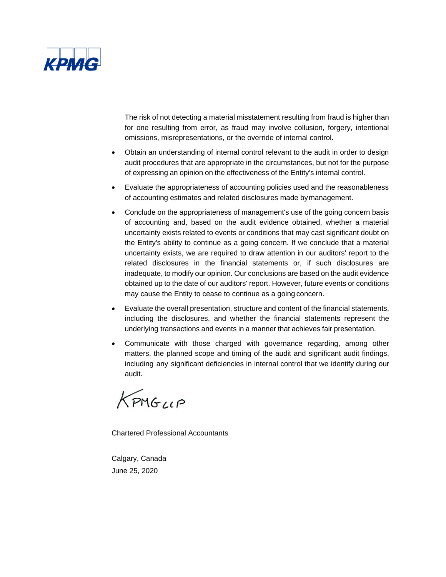

The risk of not detecting a material misstatement resulting from fraud is higher than for one resulting from error, as fraud may involve collusion, forgery, intentional omissions, misrepresentations, or the override of internal control.

- Obtain an understanding of internal control relevant to the audit in order to design audit procedures that are appropriate in the circumstances, but not for the purpose of expressing an opinion on the effectiveness of the Entity's internal control.
- Evaluate the appropriateness of accounting policies used and the reasonableness of accounting estimates and related disclosures made by management.
- Conclude on the appropriateness of management's use of the going concern basis of accounting and, based on the audit evidence obtained, whether a material uncertainty exists related to events or conditions that may cast significant doubt on the Entity's ability to continue as a going concern. If we conclude that a material uncertainty exists, we are required to draw attention in our auditors' report to the related disclosures in the financial statements or, if such disclosures are inadequate, to modify our opinion. Our conclusions are based on the audit evidence obtained up to the date of our auditors' report. However, future events or conditions may cause the Entity to cease to continue as a going concern.
- Evaluate the overall presentation, structure and content of the financial statements, including the disclosures, and whether the financial statements represent the underlying transactions and events in a manner that achieves fair presentation.
- Communicate with those charged with governance regarding, among other matters, the planned scope and timing of the audit and significant audit findings, including any significant deficiencies in internal control that we identify during our audit.

KPMGLIP

Chartered Professional Accountants

Calgary, Canada June 25, 2020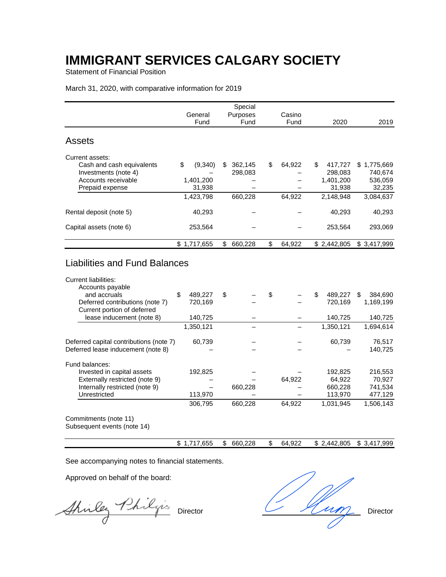Statement of Financial Position

#### March 31, 2020, with comparative information for 2019

|                                                                                                                                   |                          | Special          |                |                          |                            |
|-----------------------------------------------------------------------------------------------------------------------------------|--------------------------|------------------|----------------|--------------------------|----------------------------|
|                                                                                                                                   | General<br>Fund          | Purposes<br>Fund | Casino<br>Fund | 2020                     | 2019                       |
| <b>Assets</b>                                                                                                                     |                          |                  |                |                          |                            |
| Current assets:                                                                                                                   |                          |                  |                |                          |                            |
| Cash and cash equivalents                                                                                                         | \$<br>(9, 340)           | 362,145<br>\$    | \$<br>64,922   | 417,727<br>\$            | \$1,775,669                |
| Investments (note 4)                                                                                                              |                          | 298,083          |                | 298,083                  | 740,674                    |
| Accounts receivable<br>Prepaid expense                                                                                            | 1,401,200<br>31,938      |                  |                | 1,401,200<br>31,938      | 536,059<br>32,235          |
|                                                                                                                                   | 1,423,798                | 660,228          | 64,922         | 2,148,948                | 3,084,637                  |
|                                                                                                                                   |                          |                  |                |                          |                            |
| Rental deposit (note 5)                                                                                                           | 40,293                   |                  |                | 40,293                   | 40,293                     |
| Capital assets (note 6)                                                                                                           | 253,564                  |                  |                | 253,564                  | 293,069                    |
|                                                                                                                                   | \$1,717,655              | \$<br>660,228    | \$<br>64,922   | \$2,442,805              | \$3,417,999                |
| <b>Current liabilities:</b><br>Accounts payable<br>and accruals<br>Deferred contributions (note 7)<br>Current portion of deferred | \$<br>489,227<br>720,169 | \$               | \$             | 489,227<br>\$<br>720,169 | 384,690<br>\$<br>1,169,199 |
| lease inducement (note 8)                                                                                                         | 140,725                  |                  |                | 140,725                  | 140,725                    |
|                                                                                                                                   | 1,350,121                |                  |                | 1,350,121                | 1,694,614                  |
| Deferred capital contributions (note 7)                                                                                           | 60,739                   |                  |                | 60,739                   | 76,517                     |
| Deferred lease inducement (note 8)                                                                                                |                          |                  |                |                          | 140,725                    |
| Fund balances:                                                                                                                    |                          |                  |                |                          |                            |
| Invested in capital assets                                                                                                        | 192,825                  |                  |                | 192,825                  | 216,553                    |
| Externally restricted (note 9)                                                                                                    |                          |                  | 64,922         | 64,922                   | 70,927                     |
| Internally restricted (note 9)                                                                                                    |                          | 660,228          |                | 660,228                  | 741,534                    |
| Unrestricted                                                                                                                      | 113,970<br>306,795       | 660,228          | 64,922         | 113,970<br>1,031,945     | 477,129<br>1,506,143       |
|                                                                                                                                   |                          |                  |                |                          |                            |
| Commitments (note 11)<br>Subsequent events (note 14)                                                                              |                          |                  |                |                          |                            |
|                                                                                                                                   | \$1,717,655              | \$<br>660,228    | \$<br>64.922   | \$2,442,805              | \$3,417,999                |

See accompanying notes to financial statements.

Approved on behalf of the board:

Approved on benan or the board.<br>Apriley Philipis Director Cum Director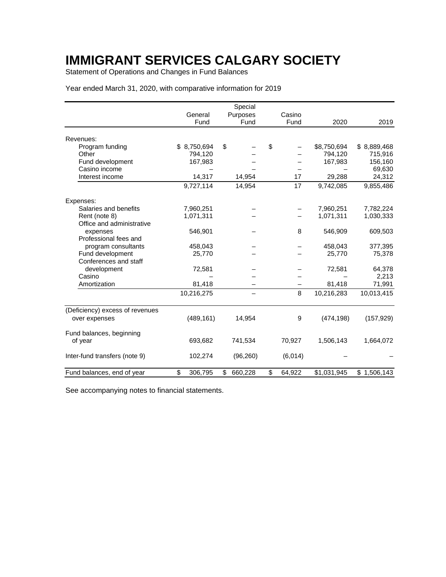Statement of Operations and Changes in Fund Balances

# Year ended March 31, 2020, with comparative information for 2019

|                                 |                 | Special       |              |             |             |
|---------------------------------|-----------------|---------------|--------------|-------------|-------------|
|                                 | General         | Purposes      | Casino       |             |             |
|                                 | Fund            | Fund          | Fund         | 2020        | 2019        |
| Revenues:                       |                 |               |              |             |             |
| Program funding                 | \$<br>8,750,694 | \$            | \$           | \$8,750,694 | \$8,889,468 |
| Other                           | 794,120         |               |              | 794,120     | 715,916     |
| Fund development                | 167,983         |               |              | 167,983     | 156,160     |
| Casino income                   |                 |               |              |             | 69,630      |
| Interest income                 | 14,317          | 14,954        | 17           | 29,288      | 24,312      |
|                                 | 9,727,114       | 14,954        | 17           | 9,742,085   | 9,855,486   |
| Expenses:                       |                 |               |              |             |             |
| Salaries and benefits           | 7,960,251       |               |              | 7,960,251   | 7,782,224   |
| Rent (note 8)                   | 1,071,311       |               |              | 1,071,311   | 1,030,333   |
| Office and administrative       |                 |               |              |             |             |
| expenses                        | 546,901         |               | 8            | 546,909     | 609,503     |
| Professional fees and           |                 |               |              |             |             |
| program consultants             | 458,043         |               |              | 458,043     | 377,395     |
| Fund development                | 25,770          |               |              | 25,770      | 75,378      |
| Conferences and staff           |                 |               |              |             |             |
| development                     | 72,581          |               |              | 72,581      | 64,378      |
| Casino                          |                 |               |              |             | 2,213       |
| Amortization                    | 81,418          |               |              | 81,418      | 71,991      |
|                                 | 10,216,275      |               | 8            | 10,216,283  | 10,013,415  |
| (Deficiency) excess of revenues |                 |               |              |             |             |
| over expenses                   | (489, 161)      | 14,954        | 9            | (474, 198)  | (157, 929)  |
| Fund balances, beginning        |                 |               |              |             |             |
| of year                         | 693,682         | 741,534       | 70,927       | 1,506,143   | 1,664,072   |
| Inter-fund transfers (note 9)   | 102,274         | (96, 260)     | (6,014)      |             |             |
| Fund balances, end of year      | \$<br>306,795   | 660,228<br>\$ | \$<br>64,922 | \$1,031,945 | \$1,506,143 |

See accompanying notes to financial statements.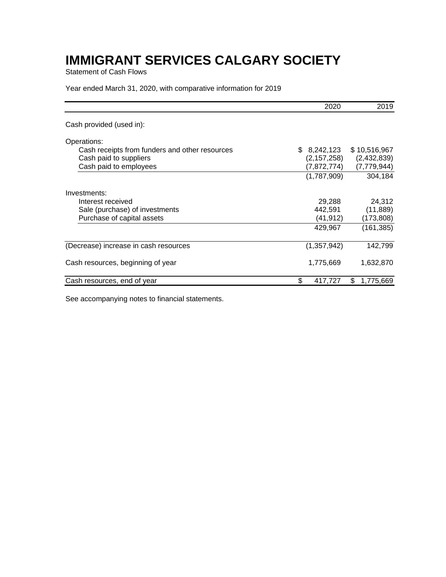Statement of Cash Flows

Year ended March 31, 2020, with comparative information for 2019

|                                                | 2020          | 2019            |
|------------------------------------------------|---------------|-----------------|
| Cash provided (used in):                       |               |                 |
| Operations:                                    |               |                 |
| Cash receipts from funders and other resources | \$ 8,242,123  | \$10,516,967    |
| Cash paid to suppliers                         | (2, 157, 258) | (2,432,839)     |
| Cash paid to employees                         | (7,872,774)   | (7,779,944)     |
|                                                | (1,787,909)   | 304,184         |
| Investments:                                   |               |                 |
| Interest received                              | 29,288        | 24,312          |
| Sale (purchase) of investments                 | 442,591       | (11, 889)       |
| Purchase of capital assets                     | (41, 912)     | (173, 808)      |
|                                                | 429,967       | (161, 385)      |
| (Decrease) increase in cash resources          | (1, 357, 942) | 142,799         |
| Cash resources, beginning of year              | 1,775,669     | 1,632,870       |
| Cash resources, end of year                    | \$<br>417,727 | \$<br>1,775,669 |

See accompanying notes to financial statements.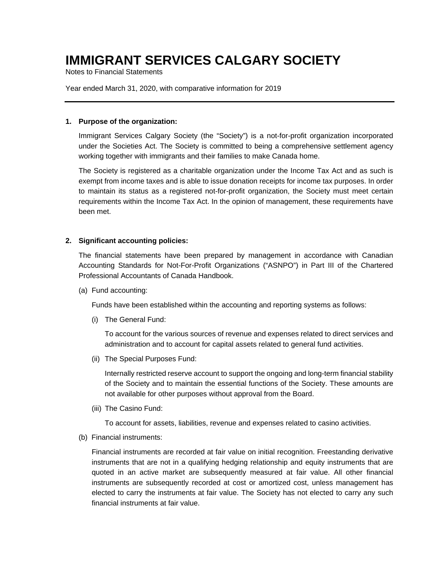Notes to Financial Statements

Year ended March 31, 2020, with comparative information for 2019

#### **1. Purpose of the organization:**

Immigrant Services Calgary Society (the "Society") is a not-for-profit organization incorporated under the Societies Act. The Society is committed to being a comprehensive settlement agency working together with immigrants and their families to make Canada home.

The Society is registered as a charitable organization under the Income Tax Act and as such is exempt from income taxes and is able to issue donation receipts for income tax purposes. In order to maintain its status as a registered not-for-profit organization, the Society must meet certain requirements within the Income Tax Act. In the opinion of management, these requirements have been met.

### **2. Significant accounting policies:**

The financial statements have been prepared by management in accordance with Canadian Accounting Standards for Not-For-Profit Organizations ("ASNPO") in Part III of the Chartered Professional Accountants of Canada Handbook.

(a) Fund accounting:

Funds have been established within the accounting and reporting systems as follows:

(i) The General Fund:

To account for the various sources of revenue and expenses related to direct services and administration and to account for capital assets related to general fund activities.

(ii) The Special Purposes Fund:

Internally restricted reserve account to support the ongoing and long-term financial stability of the Society and to maintain the essential functions of the Society. These amounts are not available for other purposes without approval from the Board.

(iii) The Casino Fund:

To account for assets, liabilities, revenue and expenses related to casino activities.

(b) Financial instruments:

Financial instruments are recorded at fair value on initial recognition. Freestanding derivative instruments that are not in a qualifying hedging relationship and equity instruments that are quoted in an active market are subsequently measured at fair value. All other financial instruments are subsequently recorded at cost or amortized cost, unless management has elected to carry the instruments at fair value. The Society has not elected to carry any such financial instruments at fair value.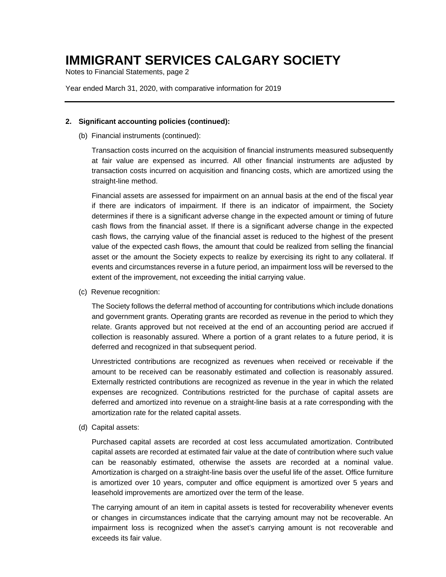Notes to Financial Statements, page 2

Year ended March 31, 2020, with comparative information for 2019

### **2. Significant accounting policies (continued):**

(b) Financial instruments (continued):

Transaction costs incurred on the acquisition of financial instruments measured subsequently at fair value are expensed as incurred. All other financial instruments are adjusted by transaction costs incurred on acquisition and financing costs, which are amortized using the straight-line method.

Financial assets are assessed for impairment on an annual basis at the end of the fiscal year if there are indicators of impairment. If there is an indicator of impairment, the Society determines if there is a significant adverse change in the expected amount or timing of future cash flows from the financial asset. If there is a significant adverse change in the expected cash flows, the carrying value of the financial asset is reduced to the highest of the present value of the expected cash flows, the amount that could be realized from selling the financial asset or the amount the Society expects to realize by exercising its right to any collateral. If events and circumstances reverse in a future period, an impairment loss will be reversed to the extent of the improvement, not exceeding the initial carrying value.

(c) Revenue recognition:

The Society follows the deferral method of accounting for contributions which include donations and government grants. Operating grants are recorded as revenue in the period to which they relate. Grants approved but not received at the end of an accounting period are accrued if collection is reasonably assured. Where a portion of a grant relates to a future period, it is deferred and recognized in that subsequent period.

Unrestricted contributions are recognized as revenues when received or receivable if the amount to be received can be reasonably estimated and collection is reasonably assured. Externally restricted contributions are recognized as revenue in the year in which the related expenses are recognized. Contributions restricted for the purchase of capital assets are deferred and amortized into revenue on a straight-line basis at a rate corresponding with the amortization rate for the related capital assets.

(d) Capital assets:

Purchased capital assets are recorded at cost less accumulated amortization. Contributed capital assets are recorded at estimated fair value at the date of contribution where such value can be reasonably estimated, otherwise the assets are recorded at a nominal value. Amortization is charged on a straight-line basis over the useful life of the asset. Office furniture is amortized over 10 years, computer and office equipment is amortized over 5 years and leasehold improvements are amortized over the term of the lease.

The carrying amount of an item in capital assets is tested for recoverability whenever events or changes in circumstances indicate that the carrying amount may not be recoverable. An impairment loss is recognized when the asset's carrying amount is not recoverable and exceeds its fair value.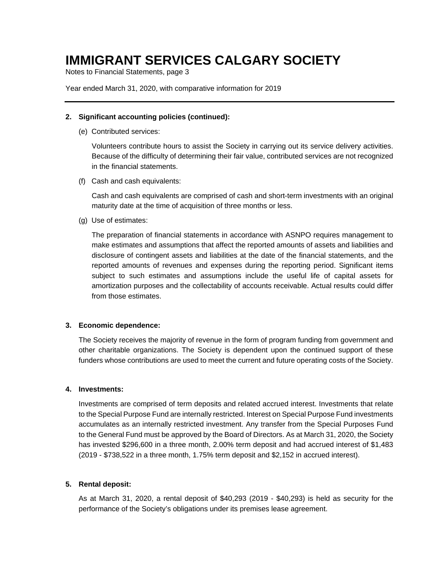Notes to Financial Statements, page 3

Year ended March 31, 2020, with comparative information for 2019

### **2. Significant accounting policies (continued):**

(e) Contributed services:

Volunteers contribute hours to assist the Society in carrying out its service delivery activities. Because of the difficulty of determining their fair value, contributed services are not recognized in the financial statements.

(f) Cash and cash equivalents:

Cash and cash equivalents are comprised of cash and short-term investments with an original maturity date at the time of acquisition of three months or less.

(g) Use of estimates:

The preparation of financial statements in accordance with ASNPO requires management to make estimates and assumptions that affect the reported amounts of assets and liabilities and disclosure of contingent assets and liabilities at the date of the financial statements, and the reported amounts of revenues and expenses during the reporting period. Significant items subject to such estimates and assumptions include the useful life of capital assets for amortization purposes and the collectability of accounts receivable. Actual results could differ from those estimates.

#### **3. Economic dependence:**

The Society receives the majority of revenue in the form of program funding from government and other charitable organizations. The Society is dependent upon the continued support of these funders whose contributions are used to meet the current and future operating costs of the Society.

# **4. Investments:**

Investments are comprised of term deposits and related accrued interest. Investments that relate to the Special Purpose Fund are internally restricted. Interest on Special Purpose Fund investments accumulates as an internally restricted investment. Any transfer from the Special Purposes Fund to the General Fund must be approved by the Board of Directors. As at March 31, 2020, the Society has invested \$296,600 in a three month, 2.00% term deposit and had accrued interest of \$1,483 (2019 - \$738,522 in a three month, 1.75% term deposit and \$2,152 in accrued interest).

# **5. Rental deposit:**

As at March 31, 2020, a rental deposit of \$40,293 (2019 - \$40,293) is held as security for the performance of the Society's obligations under its premises lease agreement.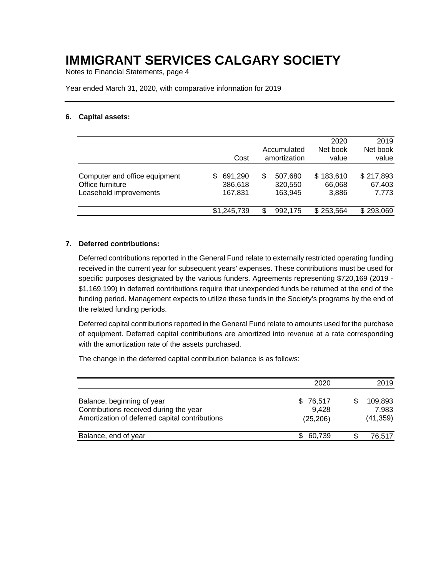Notes to Financial Statements, page 4

Year ended March 31, 2020, with comparative information for 2019

#### **6. Capital assets:**

|                                                                             | Cost                               | Accumulated<br>amortization         | 2020<br>Net book<br>value    | 2019<br>Net book<br>value    |
|-----------------------------------------------------------------------------|------------------------------------|-------------------------------------|------------------------------|------------------------------|
| Computer and office equipment<br>Office furniture<br>Leasehold improvements | 691,290<br>S<br>386,618<br>167,831 | 507,680<br>\$<br>320,550<br>163,945 | \$183,610<br>66,068<br>3,886 | \$217,893<br>67,403<br>7,773 |
|                                                                             | \$1,245,739                        | \$<br>992,175                       | \$253,564                    | \$293,069                    |

### **7. Deferred contributions:**

Deferred contributions reported in the General Fund relate to externally restricted operating funding received in the current year for subsequent years' expenses. These contributions must be used for specific purposes designated by the various funders. Agreements representing \$720,169 (2019 - \$1,169,199) in deferred contributions require that unexpended funds be returned at the end of the funding period. Management expects to utilize these funds in the Society's programs by the end of the related funding periods.

Deferred capital contributions reported in the General Fund relate to amounts used for the purchase of equipment. Deferred capital contributions are amortized into revenue at a rate corresponding with the amortization rate of the assets purchased.

The change in the deferred capital contribution balance is as follows:

|                                                                                                                        | 2020                           | 2019                          |
|------------------------------------------------------------------------------------------------------------------------|--------------------------------|-------------------------------|
| Balance, beginning of year<br>Contributions received during the year<br>Amortization of deferred capital contributions | \$76,517<br>9,428<br>(25, 206) | 109,893<br>7,983<br>(41, 359) |
| Balance, end of year                                                                                                   | 60,739                         | 76,517                        |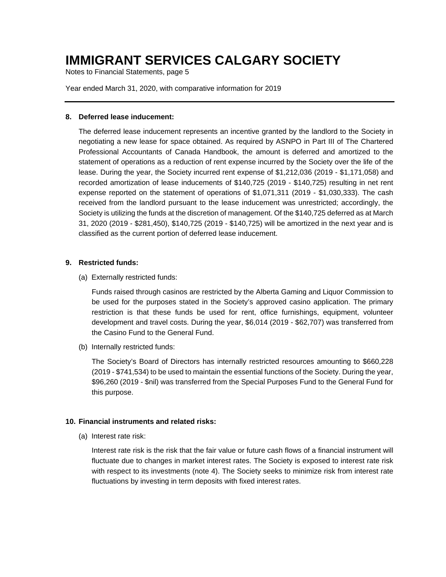Notes to Financial Statements, page 5

Year ended March 31, 2020, with comparative information for 2019

#### **8. Deferred lease inducement:**

The deferred lease inducement represents an incentive granted by the landlord to the Society in negotiating a new lease for space obtained. As required by ASNPO in Part III of The Chartered Professional Accountants of Canada Handbook, the amount is deferred and amortized to the statement of operations as a reduction of rent expense incurred by the Society over the life of the lease. During the year, the Society incurred rent expense of \$1,212,036 (2019 - \$1,171,058) and recorded amortization of lease inducements of \$140,725 (2019 - \$140,725) resulting in net rent expense reported on the statement of operations of \$1,071,311 (2019 - \$1,030,333). The cash received from the landlord pursuant to the lease inducement was unrestricted; accordingly, the Society is utilizing the funds at the discretion of management. Of the \$140,725 deferred as at March 31, 2020 (2019 - \$281,450), \$140,725 (2019 - \$140,725) will be amortized in the next year and is classified as the current portion of deferred lease inducement.

### **9. Restricted funds:**

(a) Externally restricted funds:

Funds raised through casinos are restricted by the Alberta Gaming and Liquor Commission to be used for the purposes stated in the Society's approved casino application. The primary restriction is that these funds be used for rent, office furnishings, equipment, volunteer development and travel costs. During the year, \$6,014 (2019 - \$62,707) was transferred from the Casino Fund to the General Fund.

(b) Internally restricted funds:

The Society's Board of Directors has internally restricted resources amounting to \$660,228 (2019 - \$741,534) to be used to maintain the essential functions of the Society. During the year, \$96,260 (2019 - \$nil) was transferred from the Special Purposes Fund to the General Fund for this purpose.

#### **10. Financial instruments and related risks:**

(a) Interest rate risk:

Interest rate risk is the risk that the fair value or future cash flows of a financial instrument will fluctuate due to changes in market interest rates. The Society is exposed to interest rate risk with respect to its investments (note 4). The Society seeks to minimize risk from interest rate fluctuations by investing in term deposits with fixed interest rates.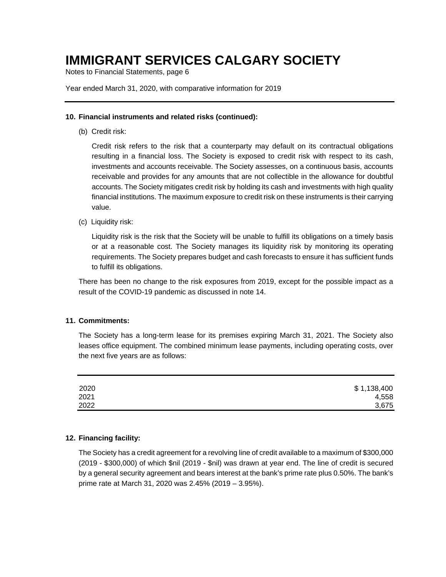Notes to Financial Statements, page 6

Year ended March 31, 2020, with comparative information for 2019

### **10. Financial instruments and related risks (continued):**

(b) Credit risk:

Credit risk refers to the risk that a counterparty may default on its contractual obligations resulting in a financial loss. The Society is exposed to credit risk with respect to its cash, investments and accounts receivable. The Society assesses, on a continuous basis, accounts receivable and provides for any amounts that are not collectible in the allowance for doubtful accounts. The Society mitigates credit risk by holding its cash and investments with high quality financial institutions. The maximum exposure to credit risk on these instruments is their carrying value.

(c) Liquidity risk:

Liquidity risk is the risk that the Society will be unable to fulfill its obligations on a timely basis or at a reasonable cost. The Society manages its liquidity risk by monitoring its operating requirements. The Society prepares budget and cash forecasts to ensure it has sufficient funds to fulfill its obligations.

There has been no change to the risk exposures from 2019, except for the possible impact as a result of the COVID-19 pandemic as discussed in note 14.

# **11. Commitments:**

The Society has a long-term lease for its premises expiring March 31, 2021. The Society also leases office equipment. The combined minimum lease payments, including operating costs, over the next five years are as follows:

| 2020 | \$1,138,400 |
|------|-------------|
| 2021 | 4,558       |
| 2022 | 3,675       |

# **12. Financing facility:**

The Society has a credit agreement for a revolving line of credit available to a maximum of \$300,000 (2019 - \$300,000) of which \$nil (2019 - \$nil) was drawn at year end. The line of credit is secured by a general security agreement and bears interest at the bank's prime rate plus 0.50%. The bank's prime rate at March 31, 2020 was 2.45% (2019 – 3.95%).